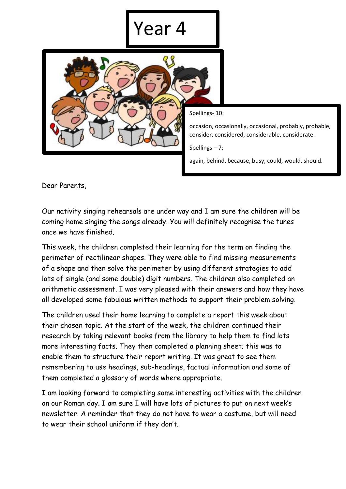## Year 4



Spellings- 10:

occasion, occasionally, occasional, probably, probable, consider, considered, considerable, considerate.

Spellings – 7:

again, behind, because, busy, could, would, should.

Dear Parents,

Our nativity singing rehearsals are under way and I am sure the children will be coming home singing the songs already. You will definitely recognise the tunes once we have finished.

This week, the children completed their learning for the term on finding the perimeter of rectilinear shapes. They were able to find missing measurements of a shape and then solve the perimeter by using different strategies to add lots of single (and some double) digit numbers. The children also completed an arithmetic assessment. I was very pleased with their answers and how they have all developed some fabulous written methods to support their problem solving.

The children used their home learning to complete a report this week about their chosen topic. At the start of the week, the children continued their research by taking relevant books from the library to help them to find lots more interesting facts. They then completed a planning sheet; this was to enable them to structure their report writing. It was great to see them remembering to use headings, sub-headings, factual information and some of them completed a glossary of words where appropriate.

I am looking forward to completing some interesting activities with the children on our Roman day. I am sure I will have lots of pictures to put on next week's newsletter. A reminder that they do not have to wear a costume, but will need to wear their school uniform if they don't.